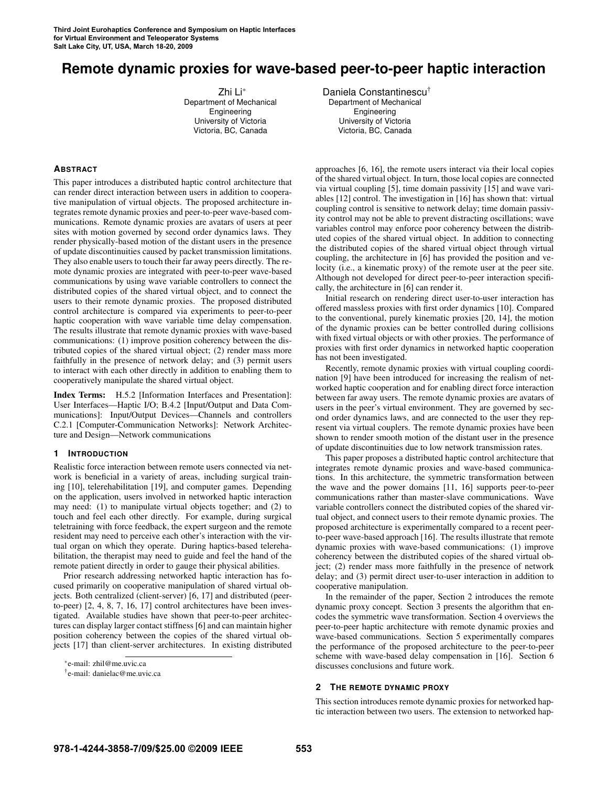# **Remote dynamic proxies for wave-based peer-to-peer haptic interaction**

Zhi Li∗ Department of Mechanical Engineering University of Victoria Victoria, BC, Canada

**ABSTRACT**

This paper introduces a distributed haptic control architecture that can render direct interaction between users in addition to cooperative manipulation of virtual objects. The proposed architecture integrates remote dynamic proxies and peer-to-peer wave-based communications. Remote dynamic proxies are avatars of users at peer sites with motion governed by second order dynamics laws. They render physically-based motion of the distant users in the presence of update discontinuities caused by packet transmission limitations. They also enable users to touch their far away peers directly. The remote dynamic proxies are integrated with peer-to-peer wave-based communications by using wave variable controllers to connect the distributed copies of the shared virtual object, and to connect the users to their remote dynamic proxies. The proposed distributed control architecture is compared via experiments to peer-to-peer haptic cooperation with wave variable time delay compensation. The results illustrate that remote dynamic proxies with wave-based communications: (1) improve position coherency between the distributed copies of the shared virtual object; (2) render mass more faithfully in the presence of network delay; and (3) permit users to interact with each other directly in addition to enabling them to cooperatively manipulate the shared virtual object.

Index Terms: H.5.2 [Information Interfaces and Presentation]: User Interfaces—Haptic I/O; B.4.2 [Input/Output and Data Communications]: Input/Output Devices—Channels and controllers C.2.1 [Computer-Communication Networks]: Network Architecture and Design—Network communications

# **1 INTRODUCTION**

Realistic force interaction between remote users connected via network is beneficial in a variety of areas, including surgical training [10], telerehabilitation [19], and computer games. Depending on the application, users involved in networked haptic interaction may need: (1) to manipulate virtual objects together; and (2) to touch and feel each other directly. For example, during surgical teletraining with force feedback, the expert surgeon and the remote resident may need to perceive each other's interaction with the virtual organ on which they operate. During haptics-based telerehabilitation, the therapist may need to guide and feel the hand of the remote patient directly in order to gauge their physical abilities.

Prior research addressing networked haptic interaction has focused primarily on cooperative manipulation of shared virtual objects. Both centralized (client-server) [6, 17] and distributed (peerto-peer) [2, 4, 8, 7, 16, 17] control architectures have been investigated. Available studies have shown that peer-to-peer architectures can display larger contact stiffness [6] and can maintain higher position coherency between the copies of the shared virtual objects [17] than client-server architectures. In existing distributed Daniela Constantinescu† Department of Mechanical Engineering University of Victoria Victoria, BC, Canada

approaches [6, 16], the remote users interact via their local copies of the shared virtual object. In turn, those local copies are connected via virtual coupling [5], time domain passivity [15] and wave variables [12] control. The investigation in [16] has shown that: virtual coupling control is sensitive to network delay; time domain passivity control may not be able to prevent distracting oscillations; wave variables control may enforce poor coherency between the distributed copies of the shared virtual object. In addition to connecting the distributed copies of the shared virtual object through virtual coupling, the architecture in [6] has provided the position and velocity (i.e., a kinematic proxy) of the remote user at the peer site. Although not developed for direct peer-to-peer interaction specifically, the architecture in [6] can render it.

Initial research on rendering direct user-to-user interaction has offered massless proxies with first order dynamics [10]. Compared to the conventional, purely kinematic proxies [20, 14], the motion of the dynamic proxies can be better controlled during collisions with fixed virtual objects or with other proxies. The performance of proxies with first order dynamics in networked haptic cooperation has not been investigated.

Recently, remote dynamic proxies with virtual coupling coordination [9] have been introduced for increasing the realism of networked haptic cooperation and for enabling direct force interaction between far away users. The remote dynamic proxies are avatars of users in the peer's virtual environment. They are governed by second order dynamics laws, and are connected to the user they represent via virtual couplers. The remote dynamic proxies have been shown to render smooth motion of the distant user in the presence of update discontinuities due to low network transmission rates.

This paper proposes a distributed haptic control architecture that integrates remote dynamic proxies and wave-based communications. In this architecture, the symmetric transformation between the wave and the power domains [11, 16] supports peer-to-peer communications rather than master-slave communications. Wave variable controllers connect the distributed copies of the shared virtual object, and connect users to their remote dynamic proxies. The proposed architecture is experimentally compared to a recent peerto-peer wave-based approach [16]. The results illustrate that remote dynamic proxies with wave-based communications: (1) improve coherency between the distributed copies of the shared virtual object; (2) render mass more faithfully in the presence of network delay; and (3) permit direct user-to-user interaction in addition to cooperative manipulation.

In the remainder of the paper, Section 2 introduces the remote dynamic proxy concept. Section 3 presents the algorithm that encodes the symmetric wave transformation. Section 4 overviews the peer-to-peer haptic architecture with remote dynamic proxies and wave-based communications. Section 5 experimentally compares the performance of the proposed architecture to the peer-to-peer scheme with wave-based delay compensation in [16]. Section 6 discusses conclusions and future work.

# **2 THE REMOTE DYNAMIC PROXY**

This section introduces remote dynamic proxies for networked haptic interaction between two users. The extension to networked hap-

<sup>∗</sup> e-mail: zhil@me.uvic.ca

<sup>†</sup> e-mail: danielac@me.uvic.ca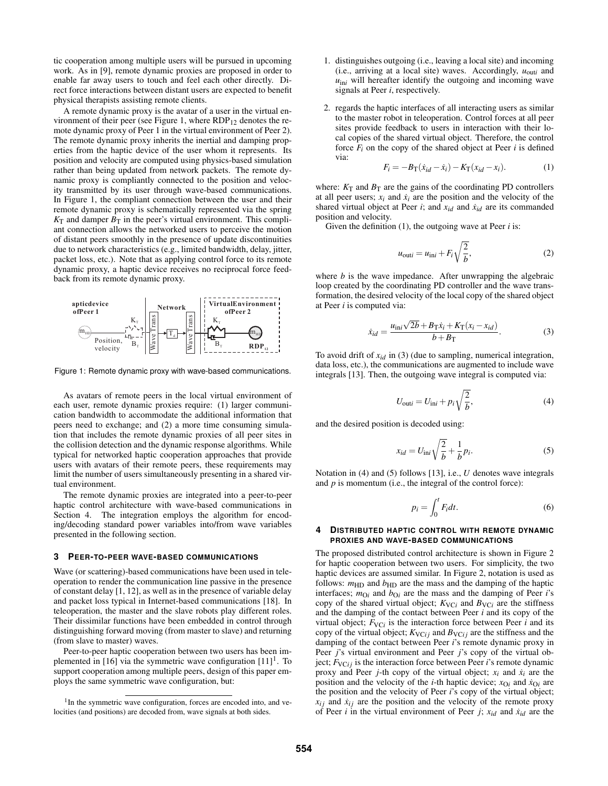tic cooperation among multiple users will be pursued in upcoming work. As in [9], remote dynamic proxies are proposed in order to enable far away users to touch and feel each other directly. Direct force interactions between distant users are expected to benefit physical therapists assisting remote clients.

A remote dynamic proxy is the avatar of a user in the virtual environment of their peer (see Figure 1, where  $RDP_{12}$  denotes the remote dynamic proxy of Peer 1 in the virtual environment of Peer 2). The remote dynamic proxy inherits the inertial and damping properties from the haptic device of the user whom it represents. Its position and velocity are computed using physics-based simulation rather than being updated from network packets. The remote dynamic proxy is compliantly connected to the position and velocity transmitted by its user through wave-based communications. In Figure 1, the compliant connection between the user and their remote dynamic proxy is schematically represented via the spring  $K<sub>T</sub>$  and damper  $B<sub>T</sub>$  in the peer's virtual environment. This compliant connection allows the networked users to perceive the motion of distant peers smoothly in the presence of update discontinuities due to network characteristics (e.g., limited bandwidth, delay, jitter, packet loss, etc.). Note that as applying control force to its remote dynamic proxy, a haptic device receives no reciprocal force feedback from its remote dynamic proxy.



Figure 1: Remote dynamic proxy with wave-based communications.

As avatars of remote peers in the local virtual environment of each user, remote dynamic proxies require: (1) larger communication bandwidth to accommodate the additional information that peers need to exchange; and (2) a more time consuming simulation that includes the remote dynamic proxies of all peer sites in the collision detection and the dynamic response algorithms. While typical for networked haptic cooperation approaches that provide users with avatars of their remote peers, these requirements may limit the number of users simultaneously presenting in a shared virtual environment.

The remote dynamic proxies are integrated into a peer-to-peer haptic control architecture with wave-based communications in Section 4. The integration employs the algorithm for encoding/decoding standard power variables into/from wave variables presented in the following section.

#### **3 PEER-TO-PEER WAVE-BASED COMMUNICATIONS**

Wave (or scattering)-based communications have been used in teleoperation to render the communication line passive in the presence of constant delay [1, 12], as well as in the presence of variable delay and packet loss typical in Internet-based communications [18]. In teleoperation, the master and the slave robots play different roles. Their dissimilar functions have been embedded in control through distinguishing forward moving (from master to slave) and returning (from slave to master) waves.

Peer-to-peer haptic cooperation between two users has been implemented in  $[16]$  via the symmetric wave configuration  $[11]$ <sup>1</sup>. To support cooperation among multiple peers, design of this paper employs the same symmetric wave configuration, but:

- 1. distinguishes outgoing (i.e., leaving a local site) and incoming (i.e., arriving at a local site) waves. Accordingly,  $u_{\text{out}i}$  and  $u_{\text{ini}}$  will hereafter identify the outgoing and incoming wave signals at Peer *i*, respectively.
- 2. regards the haptic interfaces of all interacting users as similar to the master robot in teleoperation. Control forces at all peer sites provide feedback to users in interaction with their local copies of the shared virtual object. Therefore, the control force  $F_i$  on the copy of the shared object at Peer  $i$  is defined via:

$$
F_i = -B_{\rm T}(\dot{x}_{id} - \dot{x}_i) - K_{\rm T}(x_{id} - x_i). \tag{1}
$$

where:  $K_T$  and  $B_T$  are the gains of the coordinating PD controllers at all peer users;  $x_i$  and  $\dot{x}_i$  are the position and the velocity of the shared virtual object at Peer *i*; and  $x_{id}$  and  $\dot{x}_{id}$  are its commanded position and velocity.

Given the definition (1), the outgoing wave at Peer *i* is:

$$
u_{\text{out}i} = u_{\text{ini}} + F_i \sqrt{\frac{2}{b}},\tag{2}
$$

where *b* is the wave impedance. After unwrapping the algebraic loop created by the coordinating PD controller and the wave transformation, the desired velocity of the local copy of the shared object at Peer *i* is computed via:

$$
\dot{x}_{id} = \frac{u_{\text{ini}}\sqrt{2b} + B_{\text{T}}\dot{x}_i + K_{\text{T}}(x_i - x_{id})}{b + B_{\text{T}}}.
$$
\n(3)

To avoid drift of *xid* in (3) (due to sampling, numerical integration, data loss, etc.), the communications are augmented to include wave integrals [13]. Then, the outgoing wave integral is computed via:

$$
U_{\text{out}i} = U_{\text{ini}} + p_i \sqrt{\frac{2}{b}},\tag{4}
$$

and the desired position is decoded using:

$$
x_{id} = U_{\text{ini}} \sqrt{\frac{2}{b}} + \frac{1}{b} p_i.
$$
 (5)

Notation in (4) and (5) follows [13], i.e., *U* denotes wave integrals and *p* is momentum (i.e., the integral of the control force):

$$
p_i = \int_0^t F_i dt.
$$
 (6)

### **4 DISTRIBUTED HAPTIC CONTROL WITH REMOTE DYNAMIC PROXIES AND WAVE-BASED COMMUNICATIONS**

The proposed distributed control architecture is shown in Figure 2 for haptic cooperation between two users. For simplicity, the two haptic devices are assumed similar. In Figure 2, notation is used as follows:  $m_{HD}$  and  $b_{HD}$  are the mass and the damping of the haptic interfaces;  $m_{\text{O}i}$  and  $b_{\text{O}i}$  are the mass and the damping of Peer *i*'s copy of the shared virtual object;  $K_{\text{VC}i}$  and  $B_{\text{VC}i}$  are the stiffness and the damping of the contact between Peer *i* and its copy of the virtual object;  $F_{\text{VC}i}$  is the interaction force between Peer *i* and its copy of the virtual object;  $K_{\text{VC}ij}$  and  $B_{\text{VC}ij}$  are the stiffness and the damping of the contact between Peer *i*'s remote dynamic proxy in Peer *j*'s virtual environment and Peer *j*'s copy of the virtual object;  $F_{\text{VC}i}$  is the interaction force between Peer *i*'s remote dynamic proxy and Peer *j*-th copy of the virtual object;  $x_i$  and  $\dot{x}_i$  are the position and the velocity of the *i*-th haptic device;  $x_{0i}$  and  $\dot{x}_{0i}$  are the position and the velocity of Peer *i*'s copy of the virtual object;  $x_{ij}$  and  $\dot{x}_{ij}$  are the position and the velocity of the remote proxy of Peer *i* in the virtual environment of Peer *j*;  $x_{id}$  and  $\dot{x}_{id}$  are the

<sup>&</sup>lt;sup>1</sup>In the symmetric wave configuration, forces are encoded into, and velocities (and positions) are decoded from, wave signals at both sides.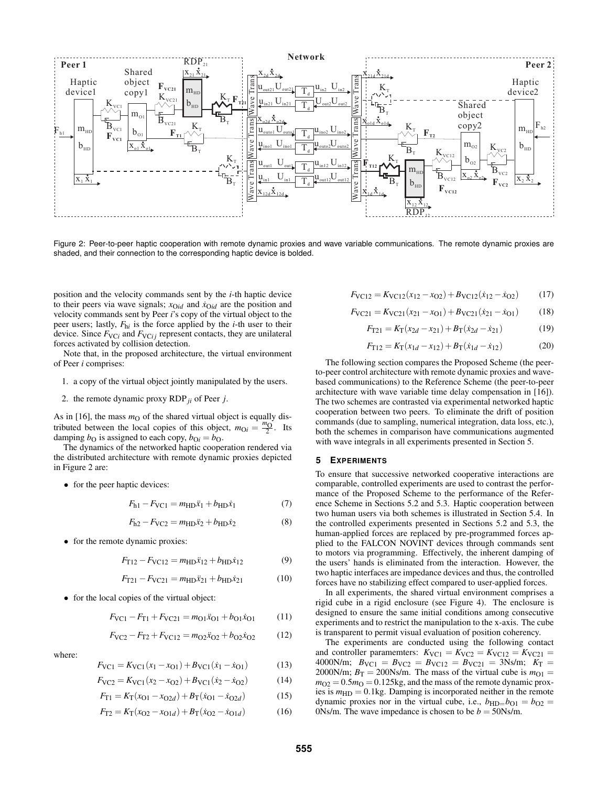

Figure 2: Peer-to-peer haptic cooperation with remote dynamic proxies and wave variable communications. The remote dynamic proxies are shaded, and their connection to the corresponding haptic device is bolded.

position and the velocity commands sent by the *i*-th haptic device to their peers via wave signals;  $x_{\text{O}id}$  and  $\dot{x}_{\text{O}id}$  are the position and velocity commands sent by Peer *i*'s copy of the virtual object to the peer users; lastly, *F*h*<sup>i</sup>* is the force applied by the *i*-th user to their device. Since  $F_{\text{VC}i}$  and  $F_{\text{VC}i}$  represent contacts, they are unilateral forces activated by collision detection.

Note that, in the proposed architecture, the virtual environment of Peer *i* comprises:

- 1. a copy of the virtual object jointly manipulated by the users.
- 2. the remote dynamic proxy RDP*ji* of Peer *j*.

As in  $[16]$ , the mass  $m<sub>O</sub>$  of the shared virtual object is equally distributed between the local copies of this object,  $m_{\text{O}i} = \frac{m_{\text{O}}}{2}$ . Its damping  $b_{\text{O}}$  is assigned to each copy,  $b_{\text{O}i} = b_{\text{O}}$ .

The dynamics of the networked haptic cooperation rendered via the distributed architecture with remote dynamic proxies depicted in Figure 2 are:

• for the peer haptic devices:

$$
F_{h1} - F_{\text{VC1}} = m_{\text{HD}} \ddot{x}_1 + b_{\text{HD}} \dot{x}_1 \tag{7}
$$

$$
F_{h2} - F_{\text{VC2}} = m_{\text{HD}} \ddot{x}_2 + b_{\text{HD}} \dot{x}_2 \tag{8}
$$

• for the remote dynamic proxies:

$$
F_{T12} - F_{\text{VC12}} = m_{\text{HD}} \ddot{x}_{12} + b_{\text{HD}} \dot{x}_{12} \tag{9}
$$

$$
F_{\text{T21}} - F_{\text{VC21}} = m_{\text{HD}} \ddot{x}_{21} + b_{\text{HD}} \dot{x}_{21} \tag{10}
$$

• for the local copies of the virtual object:

where:

$$
F_{\text{VC1}} - F_{\text{T1}} + F_{\text{VC21}} = m_{\text{O1}} \ddot{x}_{\text{O1}} + b_{\text{O1}} \dot{x}_{\text{O1}} \tag{11}
$$

$$
F_{\text{VC2}} - F_{\text{T2}} + F_{\text{VC12}} = m_{\text{O2}} \ddot{x}_{\text{O2}} + b_{\text{O2}} \dot{x}_{\text{O2}} \tag{12}
$$

$$
F_{\text{VC1}} = K_{\text{VC1}}(x_1 - x_{\text{O1}}) + B_{\text{VC1}}(\dot{x}_1 - \dot{x}_{\text{O1}})
$$
(13)

$$
F_{\rm VC2} = K_{\rm VC1}(x_2 - x_{\rm O2}) + B_{\rm VC1}(x_2 - x_{\rm O2})
$$
 (14)

$$
F_{\text{T1}} = K_{\text{T}}(x_{01} - x_{02d}) + B_{\text{T}}(\dot{x}_{01} - \dot{x}_{02d})
$$
 (15)

$$
F_{\text{T2}} = K_{\text{T}}(x_{\text{O2}} - x_{\text{O1}d}) + B_{\text{T}}(\dot{x}_{\text{O2}} - \dot{x}_{\text{O1}d}) \tag{16}
$$

$$
F_{\text{VC12}} = K_{\text{VC12}}(x_{12} - x_{\text{O2}}) + B_{\text{VC12}}(\dot{x}_{12} - \dot{x}_{\text{O2}}) \tag{17}
$$

$$
F_{\text{VC21}} = K_{\text{VC21}}(x_{21} - x_{01}) + B_{\text{VC21}}(\dot{x}_{21} - \dot{x}_{01}) \tag{18}
$$

$$
F_{T21} = K_T(x_{2d} - x_{21}) + B_T(\dot{x}_{2d} - \dot{x}_{21})
$$
\n(19)

$$
F_{T12} = K_T(x_{1d} - x_{12}) + B_T(\dot{x}_{1d} - \dot{x}_{12})
$$
 (20)

The following section compares the Proposed Scheme (the peerto-peer control architecture with remote dynamic proxies and wavebased communications) to the Reference Scheme (the peer-to-peer architecture with wave variable time delay compensation in [16]). The two schemes are contrasted via experimental networked haptic cooperation between two peers. To eliminate the drift of position commands (due to sampling, numerical integration, data loss, etc.), both the schemes in comparison have communications augmented with wave integrals in all experiments presented in Section 5.

#### **5 EXPERIMENTS**

To ensure that successive networked cooperative interactions are comparable, controlled experiments are used to contrast the performance of the Proposed Scheme to the performance of the Reference Scheme in Sections 5.2 and 5.3. Haptic cooperation between two human users via both schemes is illustrated in Section 5.4. In the controlled experiments presented in Sections 5.2 and 5.3, the human-applied forces are replaced by pre-programmed forces applied to the FALCON NOVINT devices through commands sent to motors via programming. Effectively, the inherent damping of the users' hands is eliminated from the interaction. However, the two haptic interfaces are impedance devices and thus, the controlled forces have no stabilizing effect compared to user-applied forces.

In all experiments, the shared virtual environment comprises a rigid cube in a rigid enclosure (see Figure 4). The enclosure is designed to ensure the same initial conditions among consecutive experiments and to restrict the manipulation to the x-axis. The cube is transparent to permit visual evaluation of position coherency.

The experiments are conducted using the following contact and controller paramemters:  $K_{\text{VC1}} = K_{\text{VC2}} = K_{\text{VC12}} = K_{\text{VC21}} =$  $4000$ N/m;  $B_{\text{VC1}} = B_{\text{VC2}} = B_{\text{VC12}} = B_{\text{VC21}} = 3$ Ns/m;  $K_{\text{T}} =$ 2000N/m;  $B_T = 200$ Ns/m. The mass of the virtual cube is  $m_{O1} =$  $m_{O2} = 0.5 m_{O} = 0.125$ kg, and the mass of the remote dynamic proxies is  $m_{HD} = 0.1$ kg. Damping is incorporated neither in the remote dynamic proxies nor in the virtual cube, i.e.,  $b_{\text{HD}=}\overline{b}_{\text{O1}} = b_{\text{O2}} =$ 0Ns/m. The wave impedance is chosen to be  $b = 50$ Ns/m.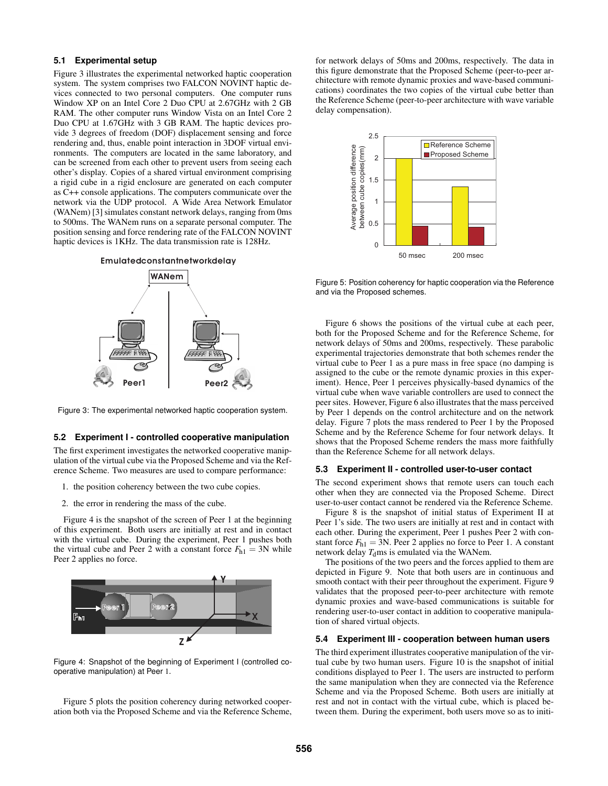# **5.1 Experimental setup**

Figure 3 illustrates the experimental networked haptic cooperation system. The system comprises two FALCON NOVINT haptic devices connected to two personal computers. One computer runs Window XP on an Intel Core 2 Duo CPU at 2.67GHz with 2 GB RAM. The other computer runs Window Vista on an Intel Core 2 Duo CPU at 1.67GHz with 3 GB RAM. The haptic devices provide 3 degrees of freedom (DOF) displacement sensing and force rendering and, thus, enable point interaction in 3DOF virtual environments. The computers are located in the same laboratory, and can be screened from each other to prevent users from seeing each other's display. Copies of a shared virtual environment comprising a rigid cube in a rigid enclosure are generated on each computer as C++ console applications. The computers communicate over the network via the UDP protocol. A Wide Area Network Emulator (WANem) [3] simulates constant network delays, ranging from 0ms to 500ms. The WANem runs on a separate personal computer. The position sensing and force rendering rate of the FALCON NOVINT haptic devices is 1KHz. The data transmission rate is 128Hz.





Figure 3: The experimental networked haptic cooperation system.

# **5.2 Experiment I - controlled cooperative manipulation**

The first experiment investigates the networked cooperative manipulation of the virtual cube via the Proposed Scheme and via the Reference Scheme. Two measures are used to compare performance:

- 1. the position coherency between the two cube copies.
- 2. the error in rendering the mass of the cube.

Figure 4 is the snapshot of the screen of Peer 1 at the beginning of this experiment. Both users are initially at rest and in contact with the virtual cube. During the experiment, Peer 1 pushes both the virtual cube and Peer 2 with a constant force  $F_{h1} = 3N$  while Peer 2 applies no force.



Figure 4: Snapshot of the beginning of Experiment I (controlled cooperative manipulation) at Peer 1.

Figure 5 plots the position coherency during networked cooperation both via the Proposed Scheme and via the Reference Scheme, for network delays of 50ms and 200ms, respectively. The data in this figure demonstrate that the Proposed Scheme (peer-to-peer architecture with remote dynamic proxies and wave-based communications) coordinates the two copies of the virtual cube better than the Reference Scheme (peer-to-peer architecture with wave variable delay compensation).



Figure 5: Position coherency for haptic cooperation via the Reference and via the Proposed schemes.

Figure 6 shows the positions of the virtual cube at each peer, both for the Proposed Scheme and for the Reference Scheme, for network delays of 50ms and 200ms, respectively. These parabolic experimental trajectories demonstrate that both schemes render the virtual cube to Peer 1 as a pure mass in free space (no damping is assigned to the cube or the remote dynamic proxies in this experiment). Hence, Peer 1 perceives physically-based dynamics of the virtual cube when wave variable controllers are used to connect the peer sites. However, Figure 6 also illustrates that the mass perceived by Peer 1 depends on the control architecture and on the network delay. Figure 7 plots the mass rendered to Peer 1 by the Proposed Scheme and by the Reference Scheme for four network delays. It shows that the Proposed Scheme renders the mass more faithfully than the Reference Scheme for all network delays.

## **5.3 Experiment II - controlled user-to-user contact**

The second experiment shows that remote users can touch each other when they are connected via the Proposed Scheme. Direct user-to-user contact cannot be rendered via the Reference Scheme.

Figure 8 is the snapshot of initial status of Experiment II at Peer 1's side. The two users are initially at rest and in contact with each other. During the experiment, Peer 1 pushes Peer 2 with constant force  $F_{h1} = 3N$ . Peer 2 applies no force to Peer 1. A constant network delay  $T<sub>d</sub>$ ms is emulated via the WANem.

The positions of the two peers and the forces applied to them are depicted in Figure 9. Note that both users are in continuous and smooth contact with their peer throughout the experiment. Figure 9 validates that the proposed peer-to-peer architecture with remote dynamic proxies and wave-based communications is suitable for rendering user-to-user contact in addition to cooperative manipulation of shared virtual objects.

## **5.4 Experiment III - cooperation between human users**

The third experiment illustrates cooperative manipulation of the virtual cube by two human users. Figure 10 is the snapshot of initial conditions displayed to Peer 1. The users are instructed to perform the same manipulation when they are connected via the Reference Scheme and via the Proposed Scheme. Both users are initially at rest and not in contact with the virtual cube, which is placed between them. During the experiment, both users move so as to initi-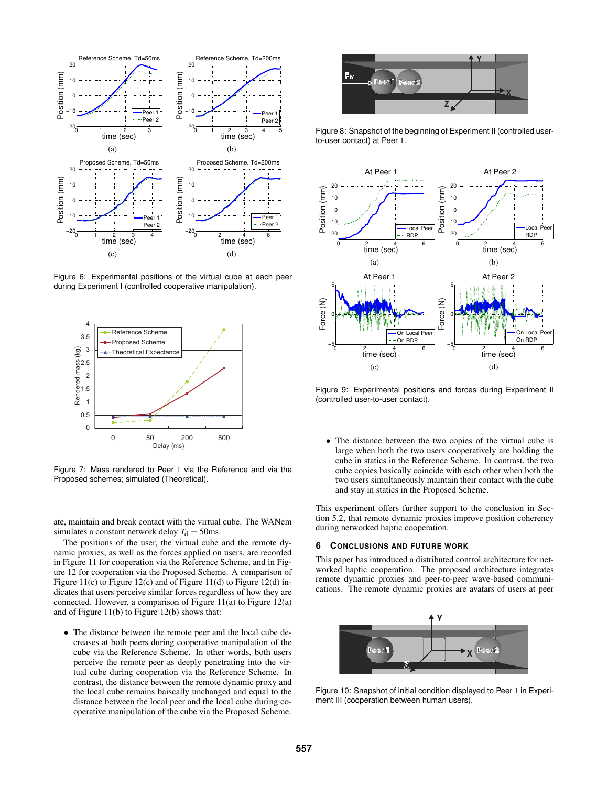

Figure 6: Experimental positions of the virtual cube at each peer during Experiment I (controlled cooperative manipulation).



Figure 7: Mass rendered to Peer 1 via the Reference and via the Proposed schemes; simulated (Theoretical).

ate, maintain and break contact with the virtual cube. The WANem simulates a constant network delay  $T<sub>d</sub> = 50$ ms.

The positions of the user, the virtual cube and the remote dynamic proxies, as well as the forces applied on users, are recorded in Figure 11 for cooperation via the Reference Scheme, and in Figure 12 for cooperation via the Proposed Scheme. A comparison of Figure 11(c) to Figure 12(c) and of Figure 11(d) to Figure 12(d) indicates that users perceive similar forces regardless of how they are connected. However, a comparison of Figure 11(a) to Figure 12(a) and of Figure 11(b) to Figure 12(b) shows that:

• The distance between the remote peer and the local cube decreases at both peers during cooperative manipulation of the cube via the Reference Scheme. In other words, both users perceive the remote peer as deeply penetrating into the virtual cube during cooperation via the Reference Scheme. In contrast, the distance between the remote dynamic proxy and the local cube remains baiscally unchanged and equal to the distance between the local peer and the local cube during cooperative manipulation of the cube via the Proposed Scheme.



Figure 8: Snapshot of the beginning of Experiment II (controlled userto-user contact) at Peer 1.



Figure 9: Experimental positions and forces during Experiment II (controlled user-to-user contact).

• The distance between the two copies of the virtual cube is large when both the two users cooperatively are holding the cube in statics in the Reference Scheme. In contrast, the two cube copies basically coincide with each other when both the two users simultaneously maintain their contact with the cube and stay in statics in the Proposed Scheme.

This experiment offers further support to the conclusion in Section 5.2, that remote dynamic proxies improve position coherency during networked haptic cooperation.

#### **6 CONCLUSIONS AND FUTURE WORK**

This paper has introduced a distributed control architecture for networked haptic cooperation. The proposed architecture integrates remote dynamic proxies and peer-to-peer wave-based communications. The remote dynamic proxies are avatars of users at peer



Figure 10: Snapshot of initial condition displayed to Peer 1 in Experiment III (cooperation between human users).